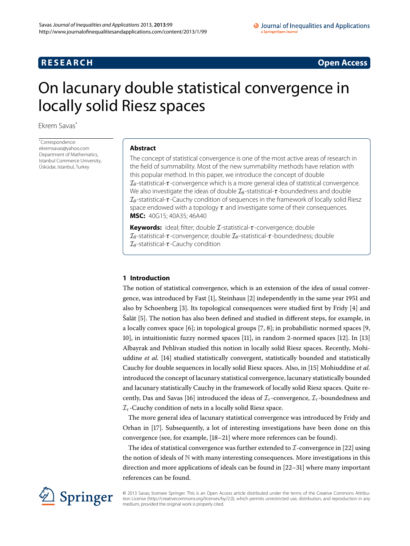## **RESEARCH CONSTRUCTER ACCESS**

# <span id="page-0-0"></span>On lacunary double statistical convergence in locally solid Riesz spaces

Ekrem Savas[\\*](#page-0-0)

\* Correspondence: [ekremsavas@yahoo.com](mailto:ekremsavas@yahoo.com) Department of Mathematics, Istanbul Commerce University, Üsküdar, Istanbul, Turkey

## **Abstract**

The concept of statistical convergence is one of the most active areas of research in the field of summability. Most of the new summability methods have relation with this popular method. In this paper, we introduce the concept of double I*<sup>θ</sup>* -statistical-*τ* -convergence which is a more general idea of statistical convergence. We also investigate the ideas of double  $I_\theta$ -statistical-*τ*-boundedness and double I*<sup>θ</sup>* -statistical-*τ* -Cauchy condition of sequences in the framework of locally solid Riesz space endowed with a topology *τ* and investigate some of their consequences. **MSC:** 40G15; 40A35; 46A40

**Keywords:** ideal; filter; double I-statistical-*τ* -convergence; double I*<sup>θ</sup>* -statistical-*τ* -convergence; double I*<sup>θ</sup>* -statistical-*τ* -boundedness; double I*<sup>θ</sup>* -statistical-*τ* -Cauchy condition

## **1 Introduction**

The notion of statistical convergence, which is an extension of the idea of usual convergence, was introduced by Fast  $[1]$  $[1]$ , Steinhaus  $[2]$  independently in the same year 1951 and also by Schoenberg  $[3]$  $[3]$ . Its topological consequences were studied first by Fridy  $[4]$  and Šalát [[\]](#page-10-4). The notion has also been defined and studied in different steps, for example, in a locally convex space  $[6]$  $[6]$ ; in topological groups  $[7, 8]$  $[7, 8]$  $[7, 8]$ ; in probabilistic normed spaces  $[9]$ ,  $[10]$  $[10]$ , in intuitionistic fuzzy normed spaces  $[11]$ , in random 2-normed spaces  $[12]$ . In  $[13]$ Albayrak and Pehlivan studied this notion in locally solid Riesz spaces. Recently, Mohiuddine *et al.* [\[](#page-11-0)14] studied statistically convergent, statistically bounded and statistically Cauchy for double sequences in locally solid Riesz spaces. Also, in [[\]](#page-11-1) Mohiuddine *et al.* introduced the concept of lacunary statistical convergence, lacunary statistically bounded and lacunary statistically Cauchy in the framework of locally solid Riesz spaces. Quite recently, Das and Savas [16] introduced the ideas of  $\mathcal{I}_{\tau}$ -convergence,  $\mathcal{I}_{\tau}$ -boundedness and I*<sup>τ</sup>* -Cauchy condition of nets in a locally solid Riesz space.

The more general idea of lacunary statistical convergence was introduced by Fridy and Orhan in [17]. Subsequently, a lot of interesting investigations have been done on this convergence (see, for example, [18-21[\]](#page-11-5) where more references can be found).

The idea of statistical convergence was further extended to  $\mathcal I$ -convergence in [22[\]](#page-11-6) using the notion of ideals of N with many interesting consequences. More investigations in this direction and more applications of ideals can be found in  $[22-31]$  $[22-31]$  where many important references can be found.



© 2013 Savas; licensee Springer. This is an Open Access article distributed under the terms of the Creative Commons Attribution License ([http://creativecommons.org/licenses/by/2.0\)](http://creativecommons.org/licenses/by/2.0), which permits unrestricted use, distribution, and reproduction in any medium, provided the original work is properly cited.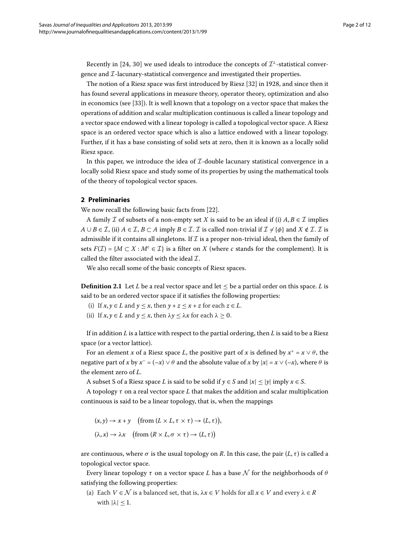Recently in [24, 30] we used ideals to introduce the concepts of  $\mathcal{I}^{\lambda}$ -statistical convergence and  $\mathcal{I}$ -lacunary-statistical convergence and investigated their properties.

The notion of a Riesz space was first introduced by Riesz  $[32]$  $[32]$  in 1928, and since then it has found several applications in measure theory, operator theory, optimization and also in economics (see  $[33]$  $[33]$ ). It is well known that a topology on a vector space that makes the operations of addition and scalar multiplication continuous is called a linear topology and a vector space endowed with a linear topology is called a topological vector space. A Riesz space is an ordered vector space which is also a lattice endowed with a linear topology. Further, if it has a base consisting of solid sets at zero, then it is known as a locally solid Riesz space.

In this paper, we introduce the idea of  $\mathcal{I}\text{-double}$  lacunary statistical convergence in a locally solid Riesz space and study some of its properties by using the mathematical tools of the theory of topological vector spaces.

### **2 Preliminaries**

We now recall the following basic facts from [\[](#page-11-6)22].

A family *I* of subsets of a non-empty set *X* is said to be an ideal if (i)  $A, B \in \mathcal{I}$  implies *A* ∪ *B* ∈ *I*, (ii) *A* ∈ *I*, *B* ⊂ *A* imply *B* ∈ *I*. *I* is called non-trivial if  $\mathcal{I} \neq \{\phi\}$  and  $X \notin \mathcal{I}$ . *I* is admissible if it contains all singletons. If  $\mathcal I$  is a proper non-trivial ideal, then the family of sets  $F(\mathcal{I}) = \{M \subset X : M^c \in \mathcal{I}\}\$ is a filter on *X* (where *c* stands for the complement). It is called the filter associated with the ideal  $\mathcal{I}$ .

We also recall some of the basic concepts of Riesz spaces.

**Definition 2.1** Let *L* be a real vector space and let  $\leq$  be a partial order on this space. *L* is said to be an ordered vector space if it satisfies the following properties:

- (i) If  $x, y \in L$  and  $y \leq x$ , then  $y + z \leq x + z$  for each  $z \in L$ .
- (ii) If  $x, y \in L$  and  $y \le x$ , then  $\lambda y \le \lambda x$  for each  $\lambda \ge 0$ .

If in addition *L* is a lattice with respect to the partial ordering, then *L* is said to be a Riesz space (or a vector lattice).

For an element *x* of a Riesz space *L*, the positive part of *x* is defined by  $x^+ = x \vee \theta$ , the negative part of *x* by  $x^- = (-x) \vee \theta$  and the absolute value of *x* by  $|x| = x \vee (-x)$ , where  $\theta$  is the element zero of *L*.

A subset *S* of a Riesz space *L* is said to be solid if  $y \in S$  and  $|x| \le |y|$  imply  $x \in S$ .

A topology *τ* on a real vector space *L* that makes the addition and scalar multiplication continuous is said to be a linear topology, that is, when the mappings

$$
(x,y) \to x + y \quad \text{(from } (L \times L, \tau \times \tau) \to (L, \tau)\text{)},
$$
  

$$
(\lambda, x) \to \lambda x \quad \text{(from } (R \times L, \sigma \times \tau) \to (L, \tau)\text{)}
$$

are continuous, where  $\sigma$  is the usual topology on *R*. In this case, the pair  $(L, \tau)$  is called a topological vector space.

Every linear topology  $\tau$  on a vector space *L* has a base  $\mathcal N$  for the neighborhoods of  $\theta$ satisfying the following properties:

(a) Each  $V \in \mathcal{N}$  is a balanced set, that is,  $\lambda x \in V$  holds for all  $x \in V$  and every  $\lambda \in R$ with  $|\lambda| \leq 1$ .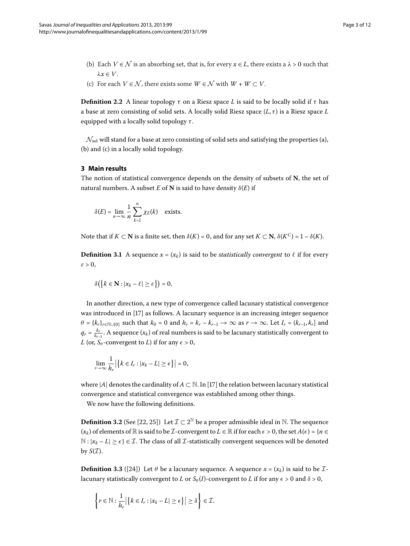- (b) Each  $V \in \mathcal{N}$  is an absorbing set, that is, for every  $x \in L$ , there exists a  $\lambda > 0$  such that *λx* ∈ *V*.
- (c) For each  $V \in \mathcal{N}$ , there exists some  $W \in \mathcal{N}$  with  $W + W \subset V$ .

**Definition 2.2** A linear topology *τ* on a Riesz space *L* is said to be locally solid if *τ* has a base at zero consisting of solid sets. A locally solid Riesz space (*L*, *τ* ) is a Riesz space *L* equipped with a locally solid topology *τ* .

 $\mathcal{N}_{sol}$  will stand for a base at zero consisting of solid sets and satisfying the properties (a), (b) and (c) in a locally solid topology.

## **3 Main results**

The notion of statistical convergence depends on the density of subsets of **N**, the set of natural numbers. A subset  $E$  of  $N$  is said to have density  $\delta(E)$  if

$$
\delta(E) = \lim_{n \to \infty} \frac{1}{n} \sum_{k=1}^{n} \chi_E(k) \quad \text{exists.}
$$

Note that if *K* ⊂ **N** is a finite set, then  $\delta(K) = 0$ , and for any set  $K \subset \mathbb{N}$ ,  $\delta(K^C) = 1 - \delta(K)$ .

**Definition 3.1** A sequence  $x = (x_k)$  is said to be *statistically convergent* to  $\ell$  if for every  $\varepsilon > 0$ ,

$$
\delta\big(\big\{k\in\mathbf{N}:|x_k-\ell|\geq \varepsilon\big\}\big)=0.
$$

In another direction, a new type of convergence called lacunary statistical convergence was introduced in [17] as follows. A lacunary sequence is an increasing integer sequence  $\theta = \{k_r\}_{r \in \mathbb{N} \cup \{0\}}$  such that  $k_0 = 0$  and  $h_r = k_r - k_{r-1} \to \infty$  as  $r \to \infty$ . Let  $I_r = (k_{r-1}, k_r]$  and  $q_r = \frac{k_r}{k_{r-1}}$ . A sequence  $(x_k)$  of real numbers is said to be lacunary statistically convergent to *L* (or,  $S_\theta$ -convergent to *L*) if for any  $\epsilon > 0$ ,

$$
\lim_{r\to\infty}\frac{1}{h_r}\left|\left\{k\in I_r:|x_k-L|\geq\epsilon\right\}\right|=0,
$$

where |*A*| denotes the cardinality of  $A \subset \mathbb{N}$ . In [\[](#page-11-3)17] the relation between lacunary statistical convergence and statistical convergence was established among other things.

We now have the following definitions.

**Definition 3.2** (See [\[](#page-11-6)22, 25[\]](#page-11-12)) Let  $\mathcal{I} \subset 2^{\mathbb{N}}$  be a proper admissible ideal in N. The sequence  $(x_k)$  of elements of  $\mathbb R$  is said to be *I*-convergent to  $L \in \mathbb R$  if for each  $\epsilon > 0$ , the set  $A(\epsilon) = \{n \in \mathbb R \mid n \in \mathbb R\}$  $\mathbb{N}: |x_k - L| \geq \epsilon$   $\in \mathcal{I}$ . The class of all  $\mathcal{I}$ -statistically convergent sequences will be denoted by  $S(\mathcal{I})$ .

**Definition 3.3** ([\[](#page-11-8)24]) Let  $\theta$  be a lacunary sequence. A sequence  $x = (x_k)$  is said to be *I*lacunary statistically convergent to *L* or  $S_\theta(I)$ -convergent to *L* if for any  $\epsilon > 0$  and  $\delta > 0$ ,

$$
\left\{r \in \mathbb{N} : \frac{1}{h_r} \left| \left\{k \in I_r : |x_k - L| \geq \epsilon\right\}\right| \geq \delta\right\} \in \mathcal{I}.
$$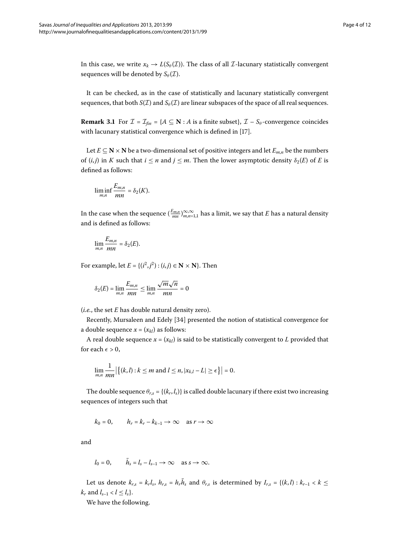In this case, we write  $x_k \to L(S_\theta(\mathcal{I}))$ . The class of all *I*-lacunary statistically convergent sequences will be denoted by  $S_{\theta}(\mathcal{I})$ .

It can be checked, as in the case of statistically and lacunary statistically convergent sequences, that both  $S(\mathcal{I})$  and  $S_{\theta}(\mathcal{I})$  are linear subspaces of the space of all real sequences.

**Remark 3.1** For  $\mathcal{I} = \mathcal{I}_{fin} = \{A \subseteq \mathbb{N} : A \text{ is a finite subset}\}, \mathcal{I} - S_{\theta}$ -convergence coincides with lacunary statistical convergence which is defined in [\[](#page-11-3)17].

Let *E* ⊆ **N** × **N** be a two-dimensional set of positive integers and let *E<sub>m,n</sub>* be the numbers of  $(i, j)$  in *K* such that  $i \leq n$  and  $j \leq m$ . Then the lower asymptotic density  $\delta_2(E)$  of *E* is defined as follows:

$$
\liminf_{m,n}\frac{E_{m,n}}{mn}=\delta_2(K).
$$

In the case when the sequence  $(\frac{E_{m,n}}{mn})_{m,n=1,1}^{\infty,\infty}$  has a limit, we say that  $E$  has a natural density and is defined as follows:

$$
\lim_{m,n}\frac{E_{m,n}}{mn}=\delta_2(E).
$$

For example, let  $E = \{(i^2, j^2) : (i, j) \in \mathbb{N} \times \mathbb{N}\}\)$ . Then

$$
\delta_2(E) = \lim_{m,n} \frac{E_{m,n}}{mn} \le \lim_{m,n} \frac{\sqrt{m}\sqrt{n}}{mn} = 0
$$

(*i.e.*, the set *E* has double natural density zero).

Recently, Mursaleen and Edely [34] presented the notion of statistical convergence for a double sequence  $x = (x_{kl})$  as follows:

A real double sequence  $x = (x_{kl})$  is said to be statistically convergent to *L* provided that for each  $\epsilon > 0$ ,

$$
\lim_{m,n}\frac{1}{mn}\left|\left\{(k,l):k\leq m \text{ and } l\leq n, |x_{k,l}-L|\geq \epsilon\right\}\right|=0.
$$

The double sequence  $\theta_{r,s} = \{(k_r,l_s)\}\$  is called double lacunary if there exist two increasing sequences of integers such that

 $k_0 = 0$ ,  $h_r = k_r - k_{k-1} \rightarrow \infty$  as  $r \rightarrow \infty$ 

and

$$
l_0 = 0
$$
,  $h_s = l_s - l_{s-1} \rightarrow \infty$  as  $s \rightarrow \infty$ .

Let us denote  $k_{r,s} = k_r l_s$ ,  $h_{r,s} = h_r \bar{h}_s$  and  $\theta_{r,s}$  is determined by  $I_{r,s} = \{(k,l): k_{r-1} < k \leq$  $k_r$  and  $l_{s-1} < l \leq l_s$ .

We have the following.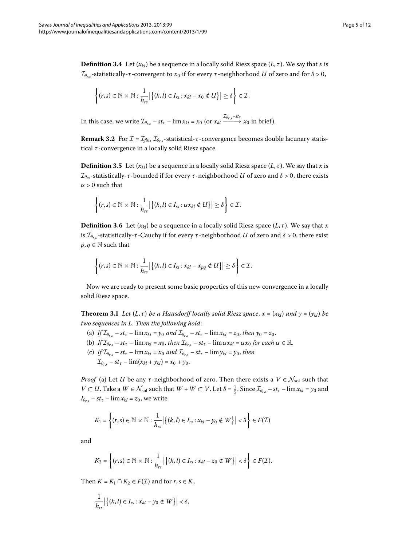**Definition 3.4** Let  $(x_{kl})$  be a sequence in a locally solid Riesz space  $(L, \tau)$ . We say that *x* is *I*<sub>θ*r*,*s*</sub>-statistically-*τ*-convergent to  $x_0$  if for every *τ*-neighborhood *U* of zero and for  $\delta > 0$ ,

$$
\left\{(r,s)\in\mathbb{N}\times\mathbb{N}:\frac{1}{h_{rs}}\big|\big\{(k,l)\in I_{rs}:x_{kl}-x_0\notin U\big\}\big|\geq\delta\right\}\in\mathcal{I}.
$$

In this case, we write  $\mathcal{I}_{\theta_{r,s}} - st_{\tau} - \lim x_{kl} = x_0$  (or  $x_{kl} \xrightarrow{\mathcal{I}_{\theta_{r,s}} - st_{\tau}} x_0$  in brief).

**Remark 3.2** For  $\mathcal{I} = \mathcal{I}_{fin}$ ,  $\mathcal{I}_{\theta_{rs}}$ -statistical-*τ*-convergence becomes double lacunary statistical *τ* -convergence in a locally solid Riesz space.

**Definition 3.5** Let  $(x_{kl})$  be a sequence in a locally solid Riesz space  $(L, \tau)$ . We say that *x* is *I*<sub>θrs</sub>-statistically-*τ*-bounded if for every *τ*-neighborhood *U* of zero and  $\delta$  > 0, there exists  $\alpha > 0$  such that

$$
\left\{(r,s)\in\mathbb{N}\times\mathbb{N}:\frac{1}{h_{rs}}\big|\big\{(k,l)\in I_{rs}: \alpha x_{kl}\notin U\big\}\big|\geq \delta\right\}\in\mathcal{I}.
$$

**Definition 3.6** Let  $(x_{kl})$  be a sequence in a locally solid Riesz space  $(L, \tau)$ . We say that *x* is  $\mathcal{I}_{\theta_{r,s}}$ -statistically-*τ* -Cauchy if for every *τ* -neighborhood *U* of zero and *δ* > 0, there exist  $p, q \in \mathbb{N}$  such that

$$
\left\{(r,s)\in\mathbb{N}\times\mathbb{N}:\frac{1}{h_{rs}}\big|\big\{(k,l)\in I_{rs}:x_{kl}-x_{pq}\notin U\big\}\big|\geq\delta\right\}\in\mathcal{I}.
$$

Now we are ready to present some basic properties of this new convergence in a locally solid Riesz space.

**Theorem 3.1** Let  $(L, \tau)$  be a Hausdorff locally solid Riesz space,  $x = (x_{kl})$  and  $y = (y_{kl})$  be *two sequences in L*. *Then the following hold*:

- (a) *If*  $\mathcal{I}_{\theta_{r,s}} st_{\tau} \lim x_{kl} = y_0$  and  $\mathcal{I}_{\theta_{r,s}} st_{\tau} \lim x_{kl} = z_0$ , then  $y_0 = z_0$ .
- (b) *If*  $\mathcal{I}_{\theta_{rs}} st_{\tau} \lim x_{kl} = x_0$ , then  $\mathcal{I}_{\theta_{rs}} st_{\tau} \lim \alpha x_{kl} = \alpha x_0$  for each  $\alpha \in \mathbb{R}$ .
- (c) *If*  $\mathcal{I}_{\theta_{rs}} st_{\tau} \lim x_{kl} = x_0$  and  $\mathcal{I}_{\theta_{rs}} st_{\tau} \lim y_{kl} = y_0$ , then
	- $\mathcal{I}_{\theta_{rs}} st_{\tau} \lim(x_{kl} + y_{kl}) = x_0 + y_0.$

*Proof* (a) Let *U* be any  $\tau$ -neighborhood of zero. Then there exists a  $V \in \mathcal{N}_{sol}$  such that  $V \subset U$ . Take a  $W \in \mathcal{N}_{sol}$  such that  $W + W \subset V$ . Let  $\delta = \frac{1}{5}$ . Since  $\mathcal{I}_{\theta_{r,s}} - st_{\tau} - \lim x_{kl} = y_0$  and  $I_{\theta_{r,s}} - st_{\tau} - \lim x_{kl} = z_0$ , we write

$$
K_1 = \left\{ (r,s) \in \mathbb{N} \times \mathbb{N} : \frac{1}{h_{rs}} \big| \left\{ (k,l) \in I_{rs} : x_{kl} - y_0 \notin W \right\} \big| < \delta \right\} \in F(\mathcal{I})
$$

and

$$
K_2=\left\{(r,s)\in\mathbb{N}\times\mathbb{N}:\frac{1}{h_{rs}}\big|\big\{(k,l)\in I_{rs}:x_{kl}-z_0\notin W\big\}\big|<\delta\right\}\in F(\mathcal{I}).
$$

Then  $K = K_1 \cap K_2 \in F(\mathcal{I})$  and for  $r, s \in K$ ,

$$
\frac{1}{h_{rs}}\big|\big\{(k,l)\in I_{rs}:x_{kl}-y_0\notin W\big\}\big|<\delta,
$$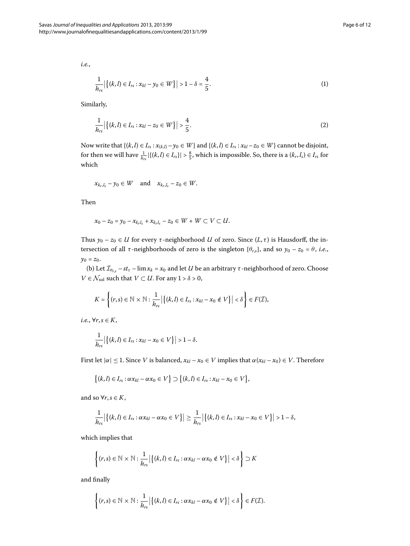*i.e.*,

$$
\frac{1}{h_{rs}}\left|\left\{(k,l)\in I_{rs}:x_{kl}-y_0\in W\right\}\right|>1-\delta=\frac{4}{5}.\tag{1}
$$

Similarly,

$$
\frac{1}{h_{rs}}\left|\{(k,l)\in I_{rs}:x_{kl}-z_0\in W\}\right|>\frac{4}{5}.
$$
\n(2)

Now write that  $\{(k, l) \in I_{rs} : x_{(k,l)} - y_0 \in W\}$  and  $\{(k, l) \in I_{rs} : x_{kl} - z_0 \in W\}$  cannot be disjoint, for then we will have  $\frac{1}{h_{rs}}|\{(k, l) \in I_{rs}\}| > \frac{8}{5}$ , which is impossible. So, there is a  $(k_r, l_s) \in I_{rs}$  for which

$$
x_{k_r,l_s}-y_0\in W \quad \text{and} \quad x_{k_r,l_s}-z_0\in W.
$$

Then

$$
x_0 - z_0 = y_0 - x_{k_r l_s} + x_{k_r l_s} - z_0 \in W + W \subset V \subset U.
$$

Thus  $y_0 - z_0 \in U$  for every  $\tau$ -neighborhood *U* of zero. Since  $(L, \tau)$  is Hausdorff, the intersection of all  $\tau$ -neighborhoods of zero is the singleton { $\theta$ <sup>*r*</sup>,*s*}, and so  $y_0 - z_0 = \theta$ , *i.e.*,  $y_0 = z_0$ .

(b) Let  $\mathcal{I}_{\theta_{r,s}}$  –  $st_{\tau}$  – lim $x_k = x_0$  and let *U* be an arbitrary  $\tau$ -neighborhood of zero. Choose *V* ∈  $\mathcal{N}_{sol}$  such that *V* ⊂ *U*. For any 1 >  $\delta$  > 0,

$$
K = \left\{ (r,s) \in \mathbb{N} \times \mathbb{N} : \frac{1}{h_{rs}} \big| \big\{ (k,l) \in I_{rs} : x_{kl} - x_0 \notin V \big\} \big| < \delta \right\} \in F(\mathcal{I}),
$$

*i.e.*, ∀*r*,*s* ∈ *K*,

$$
\frac{1}{h_{rs}}\left|\left\{(k,l)\in I_{rs}:x_{kl}-x_0\in V\right\}\right|>1-\delta.
$$

First let  $|\alpha| \leq 1$ . Since *V* is balanced,  $x_{kl} - x_0 \in V$  implies that  $\alpha(x_{kl} - x_0) \in V$ . Therefore

$$
\big\{(k,l)\in I_{rs}:\alpha x_{kl}-\alpha x_0\in V\big\}\supset\big\{(k,l)\in I_{rs}:x_{kl}-x_0\in V\big\},\
$$

and so  $\forall r, s \in K$ ,

$$
\frac{1}{h_{rs}}\left|\left\{(k,l)\in I_{rs}: \alpha x_{kl}-\alpha x_0\in V\right\}\right|\geq \frac{1}{h_{rs}}\left|\left\{(k,l)\in I_{rs}: x_{kl}-x_0\in V\right\}\right|>1-\delta,
$$

which implies that

$$
\left\{ (r,s) \in \mathbb{N} \times \mathbb{N} : \frac{1}{h_{rs}} \big| \left\{ (k,l) \in I_{rs} : \alpha x_{kl} - \alpha x_0 \notin V \right\} \big| < \delta \right\} \supset K
$$

and finally

$$
\left\{(r,s)\in\mathbb{N}\times\mathbb{N}:\frac{1}{h_{rs}}\big|\big\{(k,l)\in I_{rs}: \alpha x_{kl}-\alpha x_0\notin V\big\}\big|<\delta\right\}\in F(\mathcal{I}).
$$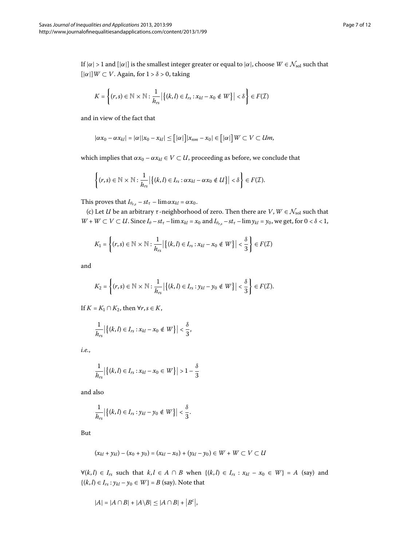If  $|\alpha| > 1$  and  $[|\alpha|]$  is the smallest integer greater or equal to  $|\alpha|$ , choose  $W \in \mathcal{N}_{sol}$  such that  $[|\alpha|]W \subset V$ . Again, for  $1 > \delta > 0$ , taking

$$
K = \left\{(r,s) \in \mathbb{N} \times \mathbb{N}: \frac{1}{h_{rs}} \big| \left\{(k,l) \in I_{rs}: x_{kl} - x_0 \notin W\right\} \big| < \delta \right\} \in F(\mathcal{I})
$$

and in view of the fact that

$$
|\alpha x_0 - \alpha x_{kl}| = |\alpha||x_0 - x_{kl}| \leq [|\alpha|]|x_{nm} - x_0| \in [|\alpha|]|W \subset V \subset Um,
$$

which implies that  $\alpha x_0 - \alpha x_{kl} \in V \subset U$ , proceeding as before, we conclude that

$$
\left\{(r,s)\in\mathbb{N}\times\mathbb{N}:\frac{1}{h_{rs}}\big|\big\{(k,l)\in I_{rs}: \alpha x_{kl}-\alpha x_0\notin U\big\}\big|<\delta\right\}\in F(\mathcal{I}).
$$

This proves that  $I_{\theta_{r,s}} - st_{\tau} - \lim \alpha x_{kl} = \alpha x_0$ .

(c) Let *U* be an arbitrary  $\tau$ -neighborhood of zero. Then there are *V*,  $W \in \mathcal{N}_{sol}$  such that  $W + W \subset V \subset U$ . Since  $I_\theta - st_\tau - \lim x_{kl} = x_0$  and  $I_{\theta_{r,s}} - st_\tau - \lim y_{kl} = y_0$ , we get, for  $0 < \delta < 1$ ,

$$
K_1 = \left\{ (r,s) \in \mathbb{N} \times \mathbb{N} : \frac{1}{h_{rs}} \big| \left\{ (k,l) \in I_{rs} : x_{kl} - x_0 \notin W \right\} \big| < \frac{\delta}{3} \right\} \in F(\mathcal{I})
$$

and

$$
K_2 = \left\{ (r,s) \in \mathbb{N} \times \mathbb{N} : \frac{1}{h_{rs}} \big| \left\{ (k,l) \in I_{rs} : y_{kl} - y_0 \notin W \right\} \big| < \frac{\delta}{3} \right\} \in F(\mathcal{I}).
$$

If  $K = K_1 \cap K_2$ , then  $\forall r, s \in K$ ,

$$
\frac{1}{h_{rs}}\left|\left\{(k,l)\in I_{rs}:x_{kl}-x_0\notin W\right\}\right|<\frac{\delta}{3},
$$

*i.e.*,

$$
\frac{1}{h_{rs}} | \{ (k, l) \in I_{rs} : x_{kl} - x_0 \in W \} | > 1 - \frac{\delta}{3}
$$

and also

$$
\frac{1}{h_{rs}}\left|\left\{(k,l)\in I_{rs}:y_{kl}-y_0\notin W\right\}\right|<\frac{\delta}{3}.
$$

But

$$
(x_{kl} + y_{kl}) - (x_0 + y_0) = (x_{kl} - x_0) + (y_{kl} - y_0) \in W + W \subset V \subset U
$$

 $∀(k, l) ∈ I<sub>rs</sub> such that  $k, l ∈ A ∩ B$  when  $\{(k, l) ∈ I<sub>rs</sub> : x<sub>kl</sub> - x<sub>0</sub> ∈ W\} = A$  (say) and$ { $(k, l) ∈ I_{rs} : y_{kl} - y_0 ∈ W$ } = *B* (say). Note that

$$
|A| = |A \cap B| + |A \backslash B| \le |A \cap B| + |B^c|,
$$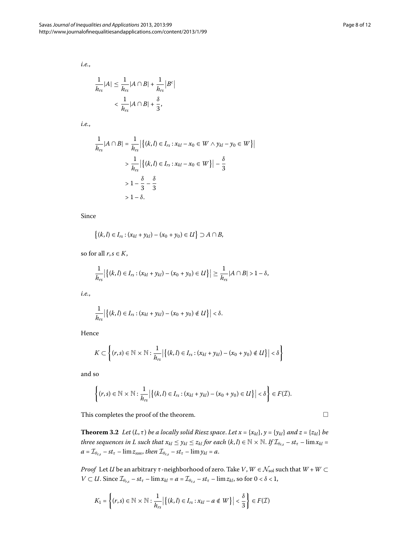*i.e.*,

$$
\frac{1}{h_{rs}}|A| \leq \frac{1}{h_{rs}}|A \cap B| + \frac{1}{h_{rs}}|B^c|
$$

$$
< \frac{1}{h_{rs}}|A \cap B| + \frac{\delta}{3},
$$

*i.e.*,

$$
\frac{1}{h_{rs}}|A \cap B| = \frac{1}{h_{rs}}|\{(k, l) \in I_{rs} : x_{kl} - x_0 \in W \land y_{kl} - y_0 \in W\}|
$$
  
> 
$$
\frac{1}{h_{rs}}|\{(k, l) \in I_{rs} : x_{kl} - x_0 \in W\}| - \frac{\delta}{3}
$$
  
> 
$$
1 - \frac{\delta}{3} - \frac{\delta}{3}
$$
  
> 
$$
1 - \delta.
$$

Since

$$
\{(k,l) \in I_{rs} : (x_{kl} + y_{kl}) - (x_0 + y_0) \in U\} \supset A \cap B,
$$

so for all  $r, s \in K$ ,

$$
\frac{1}{h_{rs}}\left|\left\{(k,l)\in I_{rs}:(x_{kl}+y_{kl})-(x_0+y_0)\in U\right\}\right|\geq \frac{1}{h_{rs}}|A\cap B|>1-\delta,
$$

*i.e.*,

$$
\frac{1}{h_{rs}}\left|\left\{(k,l)\in I_{rs}:(x_{kl}+y_{kl})-(x_0+y_0)\notin U\right\}\right|<\delta.
$$

Hence

$$
K\subset \left\{(r,s)\in\mathbb{N}\times\mathbb{N}:\frac{1}{h_{rs}}\big|\big\{(k,l)\in I_{rs}:(x_{kl}+y_{kl})-(x_0+y_0)\notin U\big\}\big|<\delta\right\}
$$

and so

$$
\left\{(r,s)\in\mathbb{N}\times\mathbb{N}:\frac{1}{h_{rs}}\big|\big\{(k,l)\in I_{rs}:(x_{kl}+y_{kl})-(x_0+y_0)\in U\big\}\big|<\delta\right\}\in F(\mathcal{I}).
$$

This completes the proof of the theorem.

**Theorem 3.2** Let  $(L, \tau)$  be a locally solid Riesz space. Let  $x = \{x_{kl}\}$ ,  $y = \{y_{kl}\}$  and  $z = \{z_{kl}\}$  be *three sequences in L such that*  $x_{kl} \leq y_{kl} \leq z_{kl}$  *for each*  $(k, l) \in \mathbb{N} \times \mathbb{N}$ . If  $\mathcal{I}_{\theta_{rs}} - st_{\tau} - \lim x_{kl} =$  $a = \mathcal{I}_{\theta_{r,s}} - st_{\tau} - \lim z_{nm}$ , then  $\mathcal{I}_{\theta_{r,s}} - st_{\tau} - \lim y_{kl} = a$ .

*Proof* Let *U* be an arbitrary *τ* -neighborhood of zero. Take *V*,  $W \in \mathcal{N}_{sol}$  such that  $W + W \subset$ *V*  $\subset$  *U*. Since  $\mathcal{I}_{\theta_{r,s}} - st_{\tau} - \lim x_{kl} = a = \mathcal{I}_{\theta_{r,s}} - st_{\tau} - \lim z_{kl}$ , so for  $0 < \delta < 1$ ,

$$
K_1 = \left\{ (r,s) \in \mathbb{N} \times \mathbb{N} : \frac{1}{h_{rs}} \big| \left\{ (k,l) \in I_{rs} : x_{kl} - a \notin W \right\} \big| < \frac{\delta}{3} \right\} \in F(\mathcal{I})
$$

$$
\qquad \qquad \Box
$$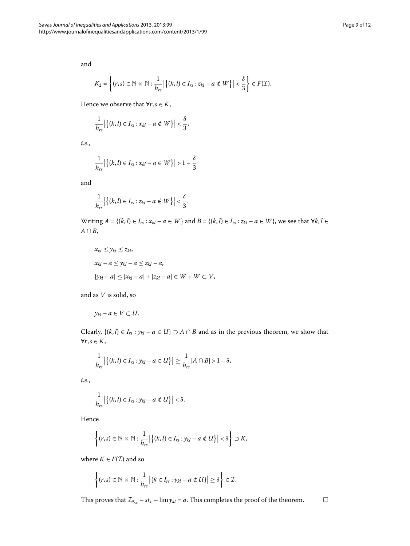and

$$
K_2 = \left\{ (r,s) \in \mathbb{N} \times \mathbb{N} : \frac{1}{h_{rs}} \big| \left\{ (k,l) \in I_{rs} : z_{kl} - a \notin W \right\} \big| < \frac{\delta}{3} \right\} \in F(\mathcal{I}).
$$

Hence we observe that  $\forall r, s \in K$ ,

$$
\frac{1}{h_{rs}}\left|\left\{(k,l)\in I_{rs}:x_{kl}-a\notin W\right\}\right|<\frac{\delta}{3},
$$

*i.e.*,

$$
\frac{1}{h_{rs}}\left|\left\{(k,l)\in I_{rs}:x_{kl}-a\in W\right\}\right|>1-\frac{\delta}{3}
$$

and

$$
\frac{1}{h_{rs}}\left|\left\{(k,l)\in I_{rs}:z_{kl}-a\notin W\right\}\right|<\frac{\delta}{3}.
$$

Writing *A* = {(*k*,*l*) ∈ *I<sub>rs</sub>* : *x<sub>kl</sub>* – *a* ∈ *W*} and *B* = {(*k*,*l*) ∈ *I<sub>rs</sub>* : *z<sub>kl</sub>* – *a* ∈ *W*}, we see that ∀*k*, *l* ∈ *A* ∩ *B*,

$$
x_{kl} \leq y_{kl} \leq z_{kl},
$$
  
\n
$$
x_{kl} - a \leq y_{kl} - a \leq z_{kl} - a,
$$
  
\n
$$
|y_{kl} - a| \leq |x_{kl} - a| + |z_{kl} - a| \in W + W \subset V,
$$

and as *V* is solid, so

$$
y_{kl}-a\in V\subset U.
$$

Clearly,  $\{(k, l) \in I_{rs} : y_{kl} - a \in U\} \supset A \cap B$  and as in the previous theorem, we show that ∀*r*,*s* ∈ *K*,

$$
\frac{1}{h_{rs}}\big|\big\{(k,l)\in I_{rs}:y_{kl}-a\in U\big\}\big|\geq \frac{1}{h_{rs}}|A\cap B|>1-\delta,
$$

*i.e.*,

$$
\frac{1}{h_{rs}}\left|\left\{(k,l)\in I_{rs}:y_{kl}-a\notin U\right\}\right|<\delta.
$$

Hence

$$
\left\{(r,s)\in\mathbb{N}\times\mathbb{N}:\frac{1}{h_{rs}}\big|\big\{(k,l)\in I_{rs}:y_{kl}-a\notin U\big\}\big|<\delta\right\}\supset K,
$$

where  $K \in F(\mathcal{I})$  and so

$$
\left\{(r,s)\in\mathbb{N}\times\mathbb{N}:\frac{1}{h_{rs}}\big|\{k\in I_{rs}:y_{kl}-a\notin U\}\big|\geq\delta\right\}\in\mathcal{I}.
$$

This proves that  $\mathcal{I}_{\theta_{r,s}} - st_{\tau} - \lim y_{kl} = a$ . This completes the proof of the theorem.  $\Box$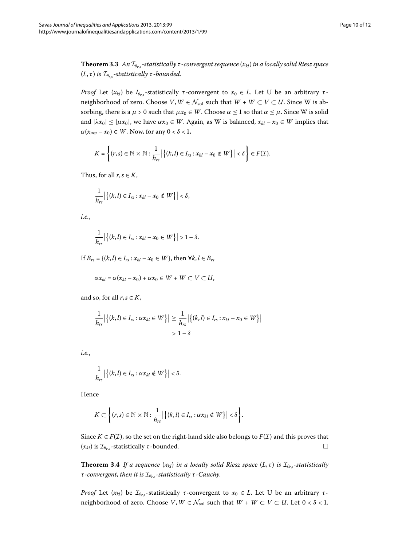**Theorem 3.3** An  $\mathcal{I}_{\theta_{rs}}$ -statistically  $\tau$ -convergent sequence  $(x_{kl})$  in a locally solid Riesz space (*L*, *τ* ) *is* I*<sup>θ</sup>r*,*<sup>s</sup> -statistically τ -bounded*.

*Proof* Let  $(x_{kl})$  be  $I_{\theta_{rs}}$ -statistically *τ*-convergent to  $x_0 \in L$ . Let U be an arbitrary *τ*neighborhood of zero. Choose *V*,  $W \in \mathcal{N}_{sol}$  such that  $W + W \subset V \subset U$ . Since W is absorbing, there is a  $\mu > 0$  such that  $\mu x_0 \in W$ . Choose  $\alpha \le 1$  so that  $\alpha \le \mu$ . Since W is solid and  $|\lambda x_0| \leq |\mu x_0|$ , we have  $\alpha x_0 \in W$ . Again, as W is balanced,  $x_{kl} - x_0 \in W$  implies that  $\alpha(x_{nm} - x_0) \in W$ . Now, for any  $0 < \delta < 1$ ,

$$
K = \left\{ (r,s) \in \mathbb{N} \times \mathbb{N} : \frac{1}{h_{rs}} \big| \left\{ (k,l) \in I_{rs} : x_{kl} - x_0 \notin W \right\} \big| < \delta \right\} \in F(\mathcal{I}).
$$

Thus, for all  $r, s \in K$ ,

$$
\frac{1}{h_{rs}}\left|\left\{(k,l)\in I_{rs}:x_{kl}-x_0\notin W\right\}\right|<\delta,
$$

*i.e.*,

$$
\frac{1}{h_{rs}}\left|\left\{(k,l)\in I_{rs}:x_{kl}-x_0\in W\right\}\right|>1-\delta.
$$

If *B*<sub>*rs*</sub> = {(*k*,*l*) ∈ *I*<sub>*rs*</sub> :  $x_{kl} - x_0 \in W$ }, then ∀*k*, *l* ∈ *B*<sub>*rs*</sub>

$$
\alpha x_{kl} = \alpha (x_{kl} - x_0) + \alpha x_0 \in W + W \subset V \subset U,
$$

and so, for all  $r, s \in K$ ,

$$
\frac{1}{h_{rs}}\left|\{(k,l)\in I_{rs}:\alpha x_{kl}\in W\}\right|\geq \frac{1}{h_{rs}}\left|\{(k,l)\in I_{rs}:x_{kl}-x_0\in W\}\right|\\&>1-\delta
$$

*i.e.*,

$$
\frac{1}{h_{rs}}\big|\big\{(k,l)\in I_{rs}:\alpha x_{kl}\notin W\big\}\big|<\delta.
$$

Hence

$$
K\subset \bigg\{(r,s)\in\mathbb{N}\times\mathbb{N}: \frac{1}{h_{rs}}\big|\big\{(k,l)\in I_{rs}: \alpha x_{kl}\notin W\big\}\big|<\delta\bigg\}.
$$

Since  $K \in F(\mathcal{I})$ , so the set on the right-hand side also belongs to  $F(\mathcal{I})$  and this proves that ( $x<sub>k</sub>$ *ι*) is  $I<sub>θ<sub>r,s</sub></sub>$ -statistically *τ*-bounded.  $□$ 

**Theorem 3.4** If a sequence  $(x_{kl})$  in a locally solid Riesz space  $(L, \tau)$  is  $\mathcal{I}_{\theta_{rs}}$ -statistically *τ -convergent*, *then it is* I*<sup>θ</sup>r*,*<sup>s</sup> -statistically τ -Cauchy*.

*Proof* Let  $(x_{kl})$  be  $\mathcal{I}_{\theta_{rs}}$ -statistically *τ*-convergent to  $x_0 \in L$ . Let U be an arbitrary *τ*neighborhood of zero. Choose *V*,  $W \in \mathcal{N}_{sol}$  such that  $W + W \subset V \subset U$ . Let  $0 < \delta < 1$ .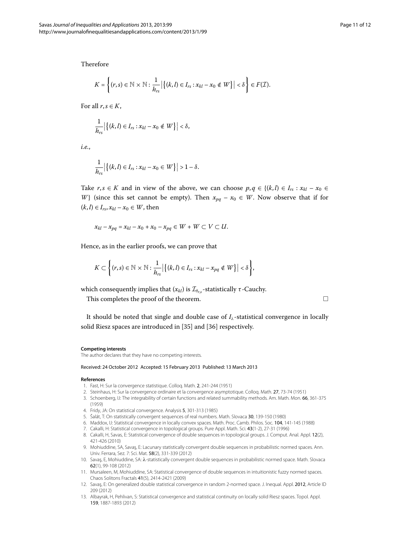Therefore

$$
K = \left\{ (r,s) \in \mathbb{N} \times \mathbb{N} : \frac{1}{h_{rs}} \big| \left\{ (k,l) \in I_{rs} : x_{kl} - x_0 \notin W \right\} \big| < \delta \right\} \in F(\mathcal{I}).
$$

For all  $r, s \in K$ ,

$$
\frac{1}{h_{rs}}\left|\left\{(k,l)\in I_{rs}:x_{kl}-x_0\notin W\right\}\right|<\delta,
$$

*i.e.*,

$$
\frac{1}{h_{rs}} | \big\{ (k, l) \in I_{rs} : x_{kl} - x_0 \in W \big\} | > 1 - \delta.
$$

Take  $r, s \in K$  and in view of the above, we can choose  $p, q \in \{(k, l) \in I_{rs} : x_{kl} - x_0 \in$ *W*} (since this set cannot be empty). Then  $x_{pa} - x_0 \in W$ . Now observe that if for  $(k, l) \in I_{rs}, x_{kl} - x_0 \in W$ , then

$$
x_{kl}-x_{pq}=x_{kl}-x_0+x_0-x_{pq}\in W+W\subset V\subset U.
$$

Hence, as in the earlier proofs, we can prove that

$$
K\subset \bigg\{(r,s)\in\mathbb{N}\times\mathbb{N}:\frac{1}{h_{rs}}\big|\big\{(k,l)\in I_{rs}:x_{kl}-x_{pq}\notin W\big\}\big|<\delta\bigg\},\
$$

which consequently implies that  $(x_{kl})$  is  $\mathcal{I}_{\theta_{rs}}$ -statistically  $\tau$ -Cauchy.

This completes the proof of the theorem.  $\Box$ 

<span id="page-10-2"></span><span id="page-10-1"></span><span id="page-10-0"></span>It should be noted that single and double case of  $I_\lambda$ -statistical convergence in locally solid Riesz spaces are introduced in [35[\]](#page-11-14) and [\[](#page-11-15)36] respectively.

#### <span id="page-10-3"></span>**Competing interests**

<span id="page-10-5"></span><span id="page-10-4"></span>The author declares that they have no competing interests.

#### <span id="page-10-7"></span><span id="page-10-6"></span>Received: 24 October 2012 Accepted: 15 February 2013 Published: 13 March 2013

#### <span id="page-10-8"></span>**References**

- 1. Fast, H: Sur la convergence statistique. Colloq. Math. 2, 241-244 (1951)
- 2. Steinhaus, H: Sur la convergence ordinaire et la convergence asymptotique. Colloq. Math. 27, 73-74 (1951)
- <span id="page-10-9"></span>3. Schoenberg, IJ: The integrability of certain functions and related summability methods. Am. Math. Mon. 66, 361-375 (1959)
- <span id="page-10-10"></span>4. Fridy, JA: On statistical convergence. Analysis 5, 301-313 (1985)
- 5. Šalát, T: On statistically convergent sequences of real numbers. Math. Slovaca 30, 139-150 (1980)
- <span id="page-10-11"></span>6. Maddox, IJ: Statistical convergence in locally convex spaces. Math. Proc. Camb. Philos. Soc. 104, 141-145 (1988)
- 7. Cakalli, H: Statistical convergence in topological groups. Pure Appl. Math. Sci. 43(1-2), 27-31 (1996)
- <span id="page-10-12"></span>8. Cakalli, H, Savas, E: Statistical convergence of double sequences in topological groups. J. Comput. Anal. Appl. 12(2), 421-426 (2010)
- 9. Mohiuddine, SA, Savaş, E: Lacunary statistically convergent double sequences in probabilistic normed spaces. Ann. Univ. Ferrara, Sez. 7: Sci. Mat. 58(2), 331-339 (2012)
- 10. Sava¸s, E, Mohiuddine, SA: *λ*-statistically convergent double sequences in probabilistic normed space. Math. Slovaca 62(1), 99-108 (2012)
- 11. Mursaleen, M, Mohiuddine, SA: Statistical convergence of double sequences in intuitionistic fuzzy normed spaces. Chaos Solitons Fractals 41(5), 2414-2421 (2009)
- 12. Savaş, E: On generalized double statistical convergence in random 2-normed space. J. Inequal. Appl. 2012, Article ID 209 (2012)
- 13. Albayrak, H, Pehlivan, S: Statistical convergence and statistical continuity on locally solid Riesz spaces. Topol. Appl. 159, 1887-1893 (2012)